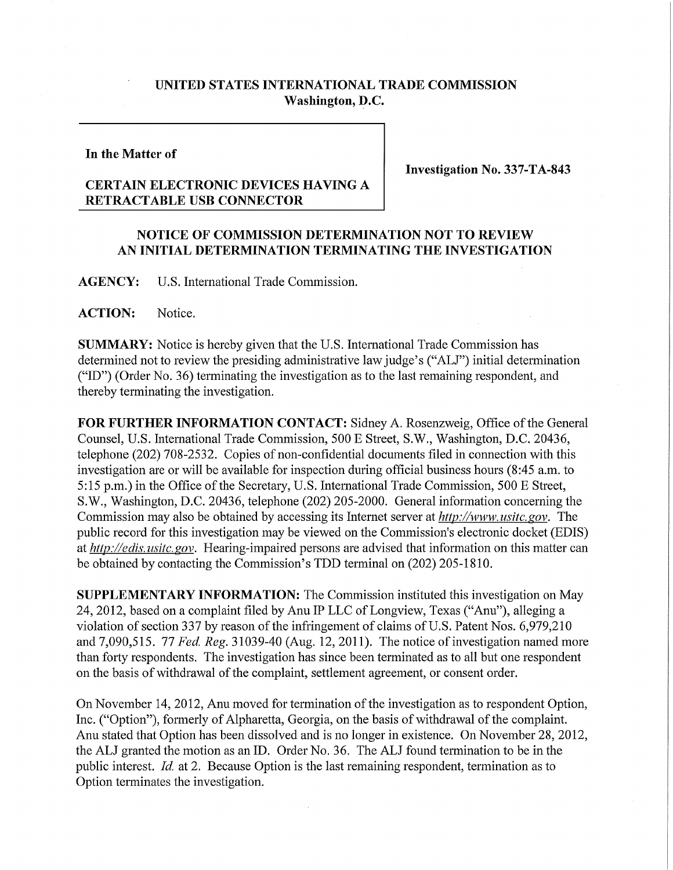## **UNITED STATES INTERNATIONAL TRADE COMMISSION Washington, D.C.**

## **In the Matter of**

**Investigation No. 337-TA-843** 

## **CERTAIN ELECTRONIC DEVICES HAVING A RETRACTABLE USB CONNECTOR**

## **NOTICE OF COMMISSION DETERMINATION NOT TO REVIEW AN INITIAL DETERMINATION TERMINATING THE INVESTIGATION**

**AGENCY:** U.S. International Trade Commission.

**ACTION:** Notice.

**SUMMARY:** Notice is hereby given that the U.S. International Trade Commission has determined not to review the presiding administrative law judge's ("ALJ") initial determination ("ID") (Order No. 36) terminating the investigation as to the last remaining respondent, and thereby terminating the investigation.

FOR FURTHER INFORMATION CONTACT: Sidney A. Rosenzweig, Office of the General Counsel, U.S. International Trade Commission, 500 E Street, S.W., Washington, D.C. 20436, telephone (202) 708-2532. Copies of non-confidential documents filed in connection with this investigation are or will be available for inspection during official business hours (8:45 a.m. to 5:15 p.m.) in the Office of the Secretary, U.S. International Trade Commission, 500 E Street, S W., Washington, D.C. 20436, telephone (202) 205-2000. General information concerning the Commission may also be obtained by accessing its Internet server at *http://www. usitc, gov.* The public record for this investigation may be viewed on the Commission's electronic docket (EDIS) at *http://edis. usitc. gov.* Hearing-impaired persons are advised that information on this matter can be obtained by contacting the Commission's TDD terminal on (202) 205-1810.

**SUPPLEMENTARY INFORMATION:** The Commission instituted this investigation on May 24, 2012, based on a complaint filed by Anu IP LLC of Longview, Texas ("Anu"), alleging a violation of section 337 by reason of the infringement of claims of U.S. Patent Nos. 6,979,210 and 7,090,515. 77 *Fed, Reg.* 31039-40 (Aug. 12,2011). The notice of investigation named more than forty respondents. The investigation has since been terminated as to all but one respondent on the basis of withdrawal of the complaint, settlement agreement, or consent order.

On November 14, 2012, Anu moved for termination of the investigation as to respondent Option, Inc. ("Option"), formerly of Alpharetta, Georgia, on the basis of withdrawal of the complaint. Anu stated that Option has been dissolved and is no longer in existence. On November 28, 2012, the ALJ granted the motion as an ID. Order No. 36. The ALJ found termination to be in the public interest. *Id,* at 2. Because Option is the last remaining respondent, termination as to Option terminates the investigation.